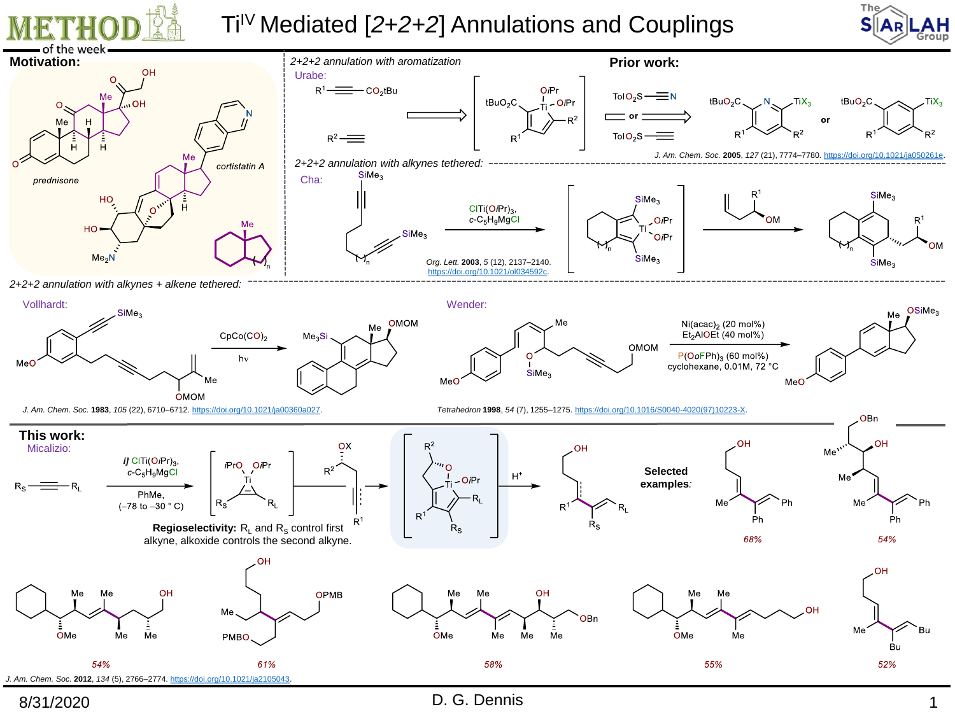





8/31/2020 1

D. G. Dennis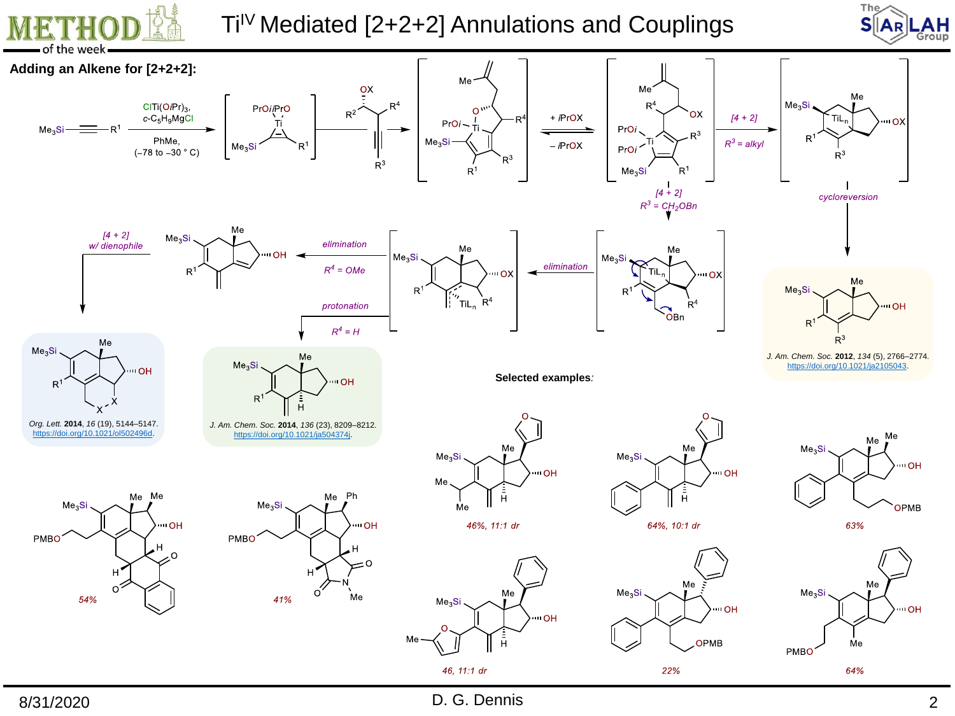





8/31/2020 D. G. Dennis 2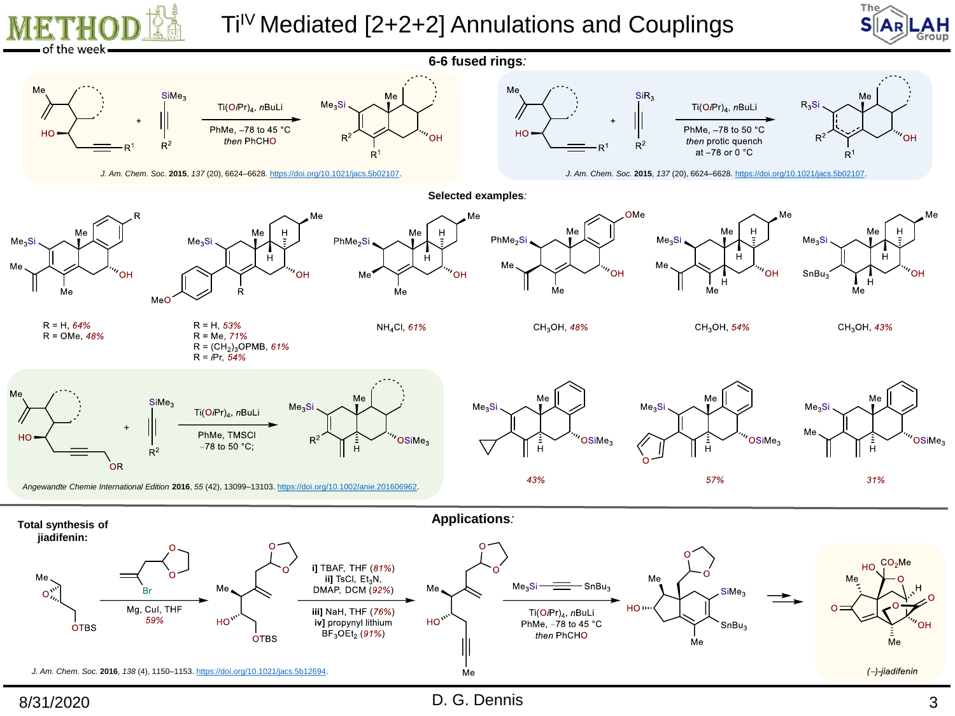